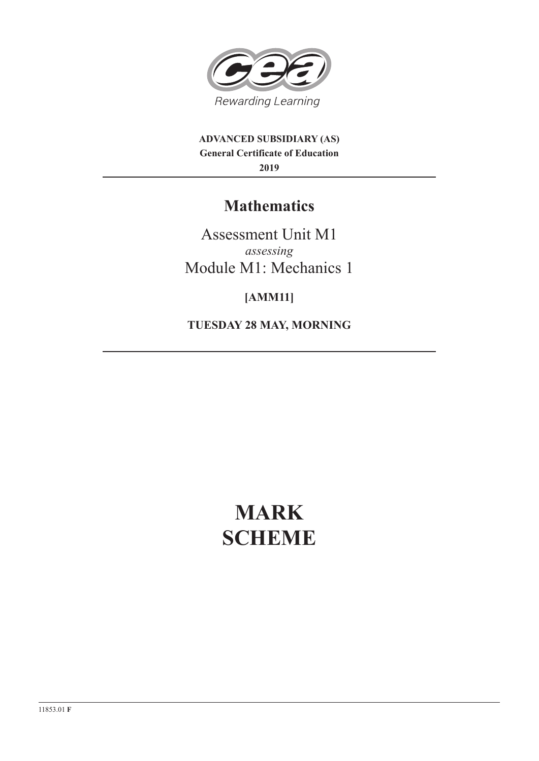

**ADVANCED SUBSIDIARY (AS) General Certificate of Education 2019**

## **Mathematics**

Assessment Unit M1 *assessing* Module M1: Mechanics 1

**[AMM11]**

**TUESDAY 28 MAY, MORNING**

# **MARK SCHEME**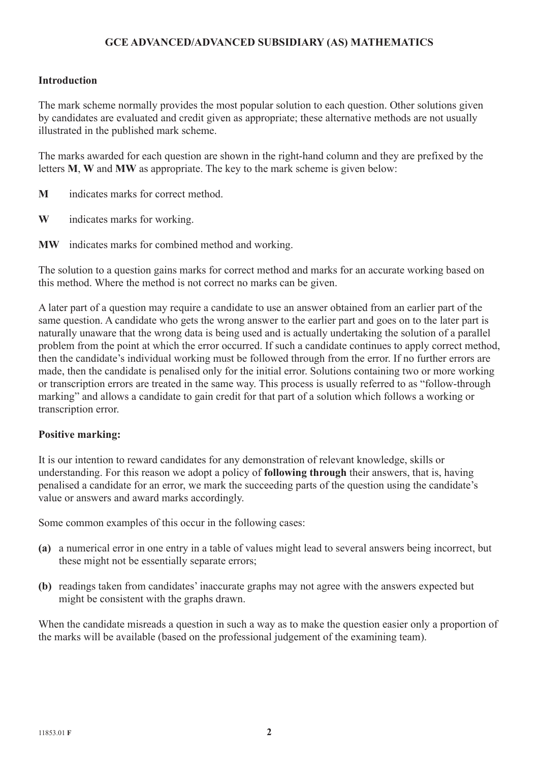### **GCE ADVANCED/ADVANCED SUBSIDIARY (AS) MATHEMATICS**

#### **Introduction**

The mark scheme normally provides the most popular solution to each question. Other solutions given by candidates are evaluated and credit given as appropriate; these alternative methods are not usually illustrated in the published mark scheme.

The marks awarded for each question are shown in the right-hand column and they are prefixed by the letters **M**, **W** and **MW** as appropriate. The key to the mark scheme is given below:

- **M** indicates marks for correct method.
- **W** indicates marks for working.
- **MW** indicates marks for combined method and working.

The solution to a question gains marks for correct method and marks for an accurate working based on this method. Where the method is not correct no marks can be given.

A later part of a question may require a candidate to use an answer obtained from an earlier part of the same question. A candidate who gets the wrong answer to the earlier part and goes on to the later part is naturally unaware that the wrong data is being used and is actually undertaking the solution of a parallel problem from the point at which the error occurred. If such a candidate continues to apply correct method, then the candidate's individual working must be followed through from the error. If no further errors are made, then the candidate is penalised only for the initial error. Solutions containing two or more working or transcription errors are treated in the same way. This process is usually referred to as "follow-through marking" and allows a candidate to gain credit for that part of a solution which follows a working or transcription error.

#### **Positive marking:**

It is our intention to reward candidates for any demonstration of relevant knowledge, skills or understanding. For this reason we adopt a policy of **following through** their answers, that is, having penalised a candidate for an error, we mark the succeeding parts of the question using the candidate's value or answers and award marks accordingly.

Some common examples of this occur in the following cases:

- **(a)** a numerical error in one entry in a table of values might lead to several answers being incorrect, but these might not be essentially separate errors;
- **(b)** readings taken from candidates' inaccurate graphs may not agree with the answers expected but might be consistent with the graphs drawn.

When the candidate misreads a question in such a way as to make the question easier only a proportion of the marks will be available (based on the professional judgement of the examining team).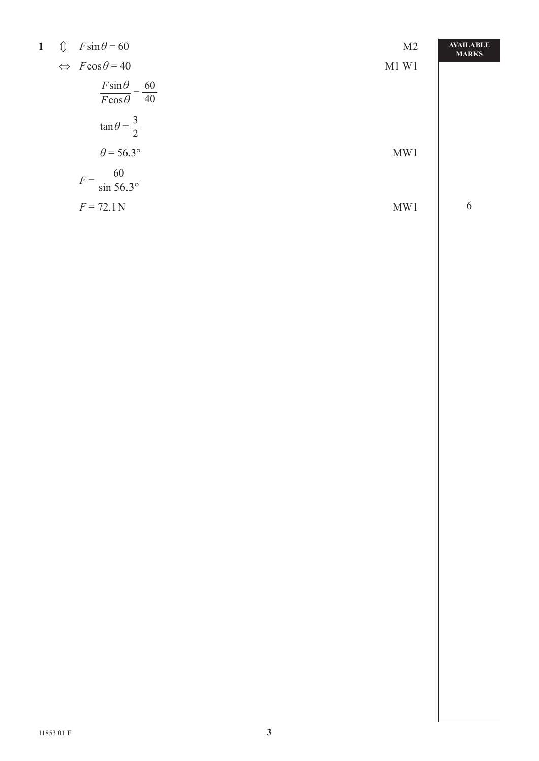| $\mathbf{1}$ | ⇕ | $F\sin\theta = 60$                                | M <sub>2</sub> | <b>AVAILABLE</b><br><b>MARKS</b> |
|--------------|---|---------------------------------------------------|----------------|----------------------------------|
|              |   | $\Leftrightarrow$ $F\cos\theta = 40$              | $M1$ W1        |                                  |
|              |   | $\frac{F\sin\theta}{F\cos\theta} = \frac{60}{40}$ |                |                                  |
|              |   | $\tan \theta = \frac{3}{2}$                       |                |                                  |
|              |   | $\theta$ = 56.3°                                  | MW1            |                                  |
|              |   | $F = \frac{60}{\sin 56.3^{\circ}}$                |                |                                  |
|              |   | $F = 72.1 N$                                      | MW1            | 6                                |
|              |   |                                                   |                |                                  |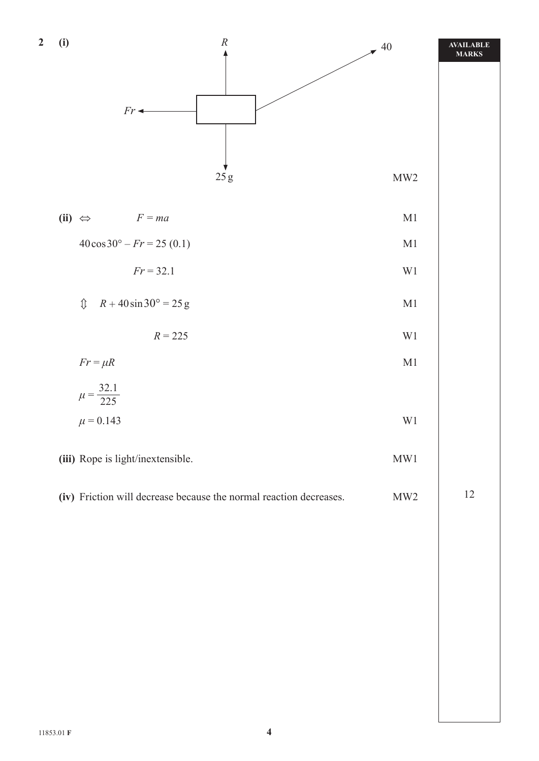| $\overline{\mathbf{2}}$ | (i)                                                                |                                                   | $\boldsymbol{R}$ | $\neq$ 40     | AVAILABLE<br>MARKS |
|-------------------------|--------------------------------------------------------------------|---------------------------------------------------|------------------|---------------|--------------------|
|                         |                                                                    |                                                   |                  |               |                    |
|                         |                                                                    | $Fr$ +                                            |                  |               |                    |
|                         |                                                                    |                                                   |                  |               |                    |
|                         |                                                                    |                                                   | $25\,\mathrm g$  | MW2           |                    |
|                         |                                                                    | (ii) $\Leftrightarrow$<br>$F = ma$                |                  | $\mathbf{M}1$ |                    |
|                         |                                                                    | $40\cos 30^\circ - Fr = 25(0.1)$                  |                  | $\mathbf{M}1$ |                    |
|                         |                                                                    | $Fr = 32.1$                                       |                  | $\rm W1$      |                    |
|                         |                                                                    | $R + 40\sin 30^\circ = 25g$<br>$\hat{\mathbb{U}}$ |                  | $\mathbf{M}1$ |                    |
|                         |                                                                    | $R = 225$                                         |                  | $\rm W1$      |                    |
|                         |                                                                    | $Fr = \mu R$                                      |                  | $\mathbf{M}1$ |                    |
|                         |                                                                    | $\mu = \frac{32.1}{225}$                          |                  |               |                    |
|                         |                                                                    | $\mu = 0.143$                                     |                  | $\rm W1$      |                    |
|                         |                                                                    | (iii) Rope is light/inextensible.                 | MW1              |               |                    |
|                         | (iv) Friction will decrease because the normal reaction decreases. | MW2                                               | 12               |               |                    |
|                         |                                                                    |                                                   |                  |               |                    |
|                         |                                                                    |                                                   |                  |               |                    |
|                         |                                                                    |                                                   |                  |               |                    |
|                         |                                                                    |                                                   |                  |               |                    |
|                         |                                                                    |                                                   |                  |               |                    |
|                         |                                                                    |                                                   |                  |               |                    |
|                         |                                                                    |                                                   |                  |               |                    |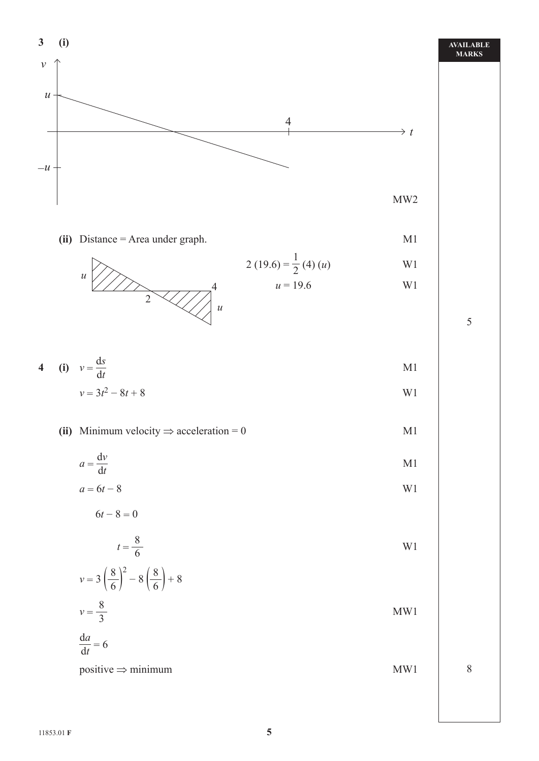

**AVAILABLE MARKS**

**3 (i)** 

*v*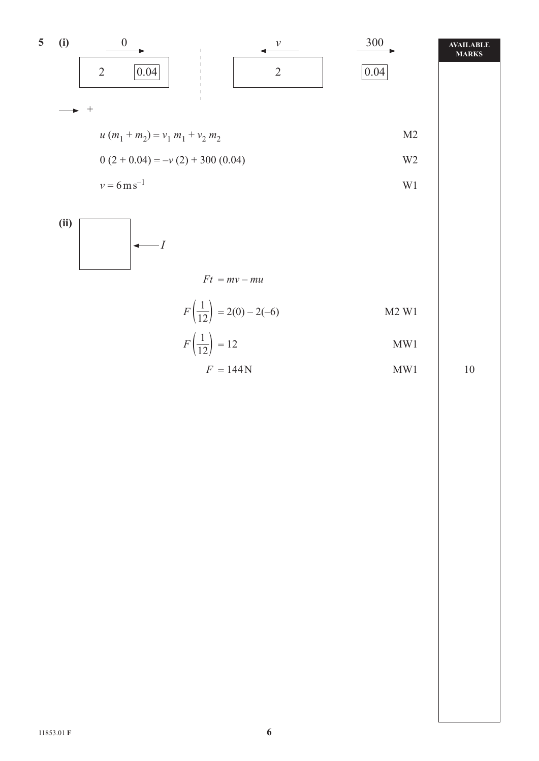



$$
F\left(\frac{1}{12}\right) = 12
$$
 MW1

$$
F = 144 \,\mathrm{N} \tag{MW1}
$$

10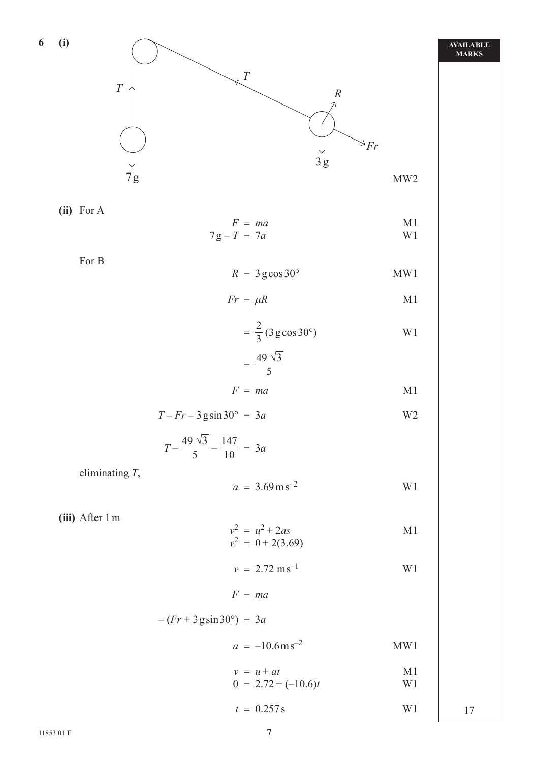

$$
Fr = \mu R \tag{M1}
$$

$$
= \frac{2}{3} (3 \text{ g} \cos 30^\circ)
$$
 W1

$$
=\frac{49\sqrt{3}}{5}
$$

$$
F = ma \qquad \qquad \text{M1}
$$

$$
T - Fr - 3\,\text{gsin}\,30^\circ = 3a\tag{W2}
$$

$$
T - \frac{49\sqrt{3}}{5} - \frac{147}{10} = 3a
$$

eliminating *T*,

$$
a = 3.69 \,\mathrm{m}\,\mathrm{s}^{-2} \tag{W1}
$$

 **(iii)** After 1 m

**6 (i)**

$$
v^2 = u^2 + 2as
$$
  
\n
$$
v^2 = 0 + 2(3.69)
$$
 M1

$$
v = 2.72 \text{ m s}^{-1}
$$
 W1

$$
F = ma
$$

$$
-(Fr + 3\,\text{gsin}\,30^\circ) = 3a
$$

$$
a = -10.6 \,\mathrm{m}\,\mathrm{s}^{-2} \tag{MW1}
$$

$$
v = u + at
$$
   
0 = 2.72 + (-10.6)t   
 W1

$$
t = 0.257 \,\mathrm{s} \qquad \qquad \text{W1} \qquad \qquad 17
$$

 $=$   $\frac{1}{2}$   $\frac{1}{2}$   $\frac{1}{2}$   $\frac{1}{2}$   $\frac{1}{2}$   $\frac{1}{2}$   $\frac{1}{2}$   $\frac{1}{2}$   $\frac{1}{2}$   $\frac{1}{2}$   $\frac{1}{2}$   $\frac{1}{2}$   $\frac{1}{2}$   $\frac{1}{2}$   $\frac{1}{2}$   $\frac{1}{2}$   $\frac{1}{2}$   $\frac{1}{2}$   $\frac{1}{2}$   $\frac{1}{2}$   $\frac{1}{2}$   $\frac{1}{2$ 

#### **AVAILABLE MARKS**